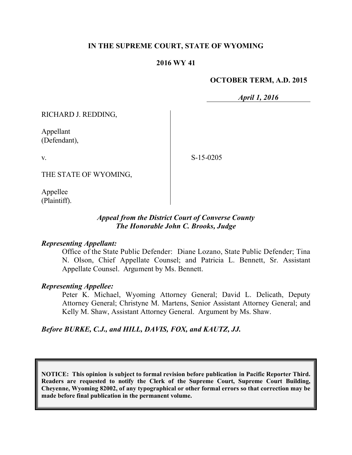## **IN THE SUPREME COURT, STATE OF WYOMING**

### **2016 WY 41**

### **OCTOBER TERM, A.D. 2015**

*April 1, 2016*

RICHARD J. REDDING,

Appellant (Defendant),

v.

S-15-0205

THE STATE OF WYOMING,

Appellee (Plaintiff).

## *Appeal from the District Court of Converse County The Honorable John C. Brooks, Judge*

#### *Representing Appellant:*

Office of the State Public Defender: Diane Lozano, State Public Defender; Tina N. Olson, Chief Appellate Counsel; and Patricia L. Bennett, Sr. Assistant Appellate Counsel. Argument by Ms. Bennett.

#### *Representing Appellee:*

Peter K. Michael, Wyoming Attorney General; David L. Delicath, Deputy Attorney General; Christyne M. Martens, Senior Assistant Attorney General; and Kelly M. Shaw, Assistant Attorney General. Argument by Ms. Shaw.

#### *Before BURKE, C.J., and HILL, DAVIS, FOX, and KAUTZ, JJ.*

**NOTICE: This opinion is subject to formal revision before publication in Pacific Reporter Third. Readers are requested to notify the Clerk of the Supreme Court, Supreme Court Building, Cheyenne, Wyoming 82002, of any typographical or other formal errors so that correction may be made before final publication in the permanent volume.**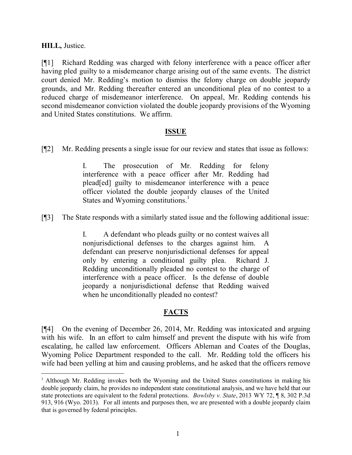## **HILL,** Justice.

[¶1] Richard Redding was charged with felony interference with a peace officer after having pled guilty to a misdemeanor charge arising out of the same events. The district court denied Mr. Redding's motion to dismiss the felony charge on double jeopardy grounds, and Mr. Redding thereafter entered an unconditional plea of no contest to a reduced charge of misdemeanor interference. On appeal, Mr. Redding contends his second misdemeanor conviction violated the double jeopardy provisions of the Wyoming and United States constitutions. We affirm.

## **ISSUE**

[¶2] Mr. Redding presents a single issue for our review and states that issue as follows:

I. The prosecution of Mr. Redding for felony interference with a peace officer after Mr. Redding had plead[ed] guilty to misdemeanor interference with a peace officer violated the double jeopardy clauses of the United States and Wyoming constitutions.<sup>1</sup>

[¶3] The State responds with a similarly stated issue and the following additional issue:

I. A defendant who pleads guilty or no contest waives all nonjurisdictional defenses to the charges against him. A defendant can preserve nonjurisdictional defenses for appeal only by entering a conditional guilty plea. Richard J. Redding unconditionally pleaded no contest to the charge of interference with a peace officer. Is the defense of double jeopardy a nonjurisdictional defense that Redding waived when he unconditionally pleaded no contest?

## **FACTS**

[¶4] On the evening of December 26, 2014, Mr. Redding was intoxicated and arguing with his wife. In an effort to calm himself and prevent the dispute with his wife from escalating, he called law enforcement. Officers Ableman and Coates of the Douglas, Wyoming Police Department responded to the call. Mr. Redding told the officers his wife had been yelling at him and causing problems, and he asked that the officers remove

<sup>&</sup>lt;sup>1</sup> Although Mr. Redding invokes both the Wyoming and the United States constitutions in making his double jeopardy claim, he provides no independent state constitutional analysis, and we have held that our state protections are equivalent to the federal protections. *Bowlsby v. State*, 2013 WY 72, ¶ 8, 302 P.3d 913, 916 (Wyo. 2013). For all intents and purposes then, we are presented with a double jeopardy claim that is governed by federal principles.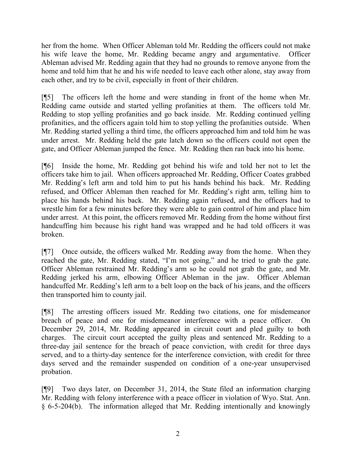her from the home. When Officer Ableman told Mr. Redding the officers could not make his wife leave the home, Mr. Redding became angry and argumentative. Officer Ableman advised Mr. Redding again that they had no grounds to remove anyone from the home and told him that he and his wife needed to leave each other alone, stay away from each other, and try to be civil, especially in front of their children.

[¶5] The officers left the home and were standing in front of the home when Mr. Redding came outside and started yelling profanities at them. The officers told Mr. Redding to stop yelling profanities and go back inside. Mr. Redding continued yelling profanities, and the officers again told him to stop yelling the profanities outside. When Mr. Redding started yelling a third time, the officers approached him and told him he was under arrest. Mr. Redding held the gate latch down so the officers could not open the gate, and Officer Ableman jumped the fence. Mr. Redding then ran back into his home.

[¶6] Inside the home, Mr. Redding got behind his wife and told her not to let the officers take him to jail. When officers approached Mr. Redding, Officer Coates grabbed Mr. Redding's left arm and told him to put his hands behind his back. Mr. Redding refused, and Officer Ableman then reached for Mr. Redding's right arm, telling him to place his hands behind his back. Mr. Redding again refused, and the officers had to wrestle him for a few minutes before they were able to gain control of him and place him under arrest. At this point, the officers removed Mr. Redding from the home without first handcuffing him because his right hand was wrapped and he had told officers it was broken.

[¶7] Once outside, the officers walked Mr. Redding away from the home. When they reached the gate, Mr. Redding stated, "I'm not going," and he tried to grab the gate. Officer Ableman restrained Mr. Redding's arm so he could not grab the gate, and Mr. Redding jerked his arm, elbowing Officer Ableman in the jaw. Officer Ableman handcuffed Mr. Redding's left arm to a belt loop on the back of his jeans, and the officers then transported him to county jail.

[¶8] The arresting officers issued Mr. Redding two citations, one for misdemeanor breach of peace and one for misdemeanor interference with a peace officer. On December 29, 2014, Mr. Redding appeared in circuit court and pled guilty to both charges. The circuit court accepted the guilty pleas and sentenced Mr. Redding to a three-day jail sentence for the breach of peace conviction, with credit for three days served, and to a thirty-day sentence for the interference conviction, with credit for three days served and the remainder suspended on condition of a one-year unsupervised probation.

[¶9] Two days later, on December 31, 2014, the State filed an information charging Mr. Redding with felony interference with a peace officer in violation of Wyo. Stat. Ann. § 6-5-204(b). The information alleged that Mr. Redding intentionally and knowingly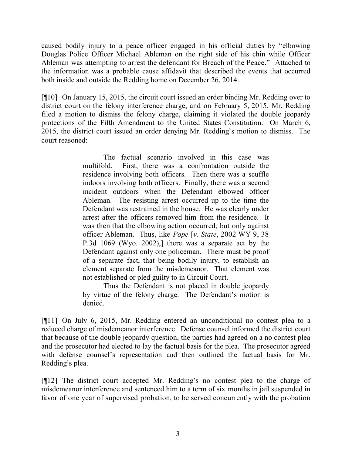caused bodily injury to a peace officer engaged in his official duties by "elbowing Douglas Police Officer Michael Ableman on the right side of his chin while Officer Ableman was attempting to arrest the defendant for Breach of the Peace." Attached to the information was a probable cause affidavit that described the events that occurred both inside and outside the Redding home on December 26, 2014.

[¶10] On January 15, 2015, the circuit court issued an order binding Mr. Redding over to district court on the felony interference charge, and on February 5, 2015, Mr. Redding filed a motion to dismiss the felony charge, claiming it violated the double jeopardy protections of the Fifth Amendment to the United States Constitution. On March 6, 2015, the district court issued an order denying Mr. Redding's motion to dismiss. The court reasoned:

> The factual scenario involved in this case was multifold. First, there was a confrontation outside the residence involving both officers. Then there was a scuffle indoors involving both officers. Finally, there was a second incident outdoors when the Defendant elbowed officer Ableman. The resisting arrest occurred up to the time the Defendant was restrained in the house. He was clearly under arrest after the officers removed him from the residence. It was then that the elbowing action occurred, but only against officer Ableman. Thus, like *Pope* [*v. State*, 2002 WY 9, 38 P.3d 1069 (Wyo. 2002),] there was a separate act by the Defendant against only one policeman. There must be proof of a separate fact, that being bodily injury, to establish an element separate from the misdemeanor. That element was not established or pled guilty to in Circuit Court.

> Thus the Defendant is not placed in double jeopardy by virtue of the felony charge. The Defendant's motion is denied.

[¶11] On July 6, 2015, Mr. Redding entered an unconditional no contest plea to a reduced charge of misdemeanor interference. Defense counsel informed the district court that because of the double jeopardy question, the parties had agreed on a no contest plea and the prosecutor had elected to lay the factual basis for the plea. The prosecutor agreed with defense counsel's representation and then outlined the factual basis for Mr. Redding's plea.

[¶12] The district court accepted Mr. Redding's no contest plea to the charge of misdemeanor interference and sentenced him to a term of six months in jail suspended in favor of one year of supervised probation, to be served concurrently with the probation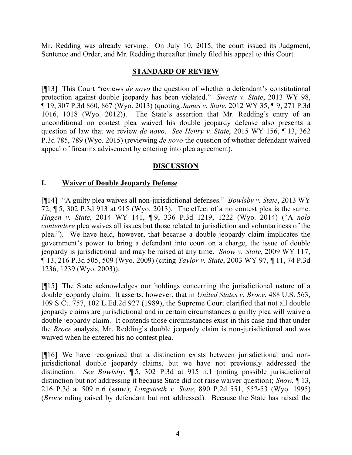Mr. Redding was already serving. On July 10, 2015, the court issued its Judgment, Sentence and Order, and Mr. Redding thereafter timely filed his appeal to this Court.

# **STANDARD OF REVIEW**

[¶13] This Court "reviews *de novo* the question of whether a defendant's constitutional protection against double jeopardy has been violated." *Sweets v. State*, 2013 WY 98, ¶ 19, 307 P.3d 860, 867 (Wyo. 2013) (quoting *James v. State*, 2012 WY 35, ¶ 9, 271 P.3d 1016, 1018 (Wyo. 2012)). The State's assertion that Mr. Redding's entry of an unconditional no contest plea waived his double jeopardy defense also presents a question of law that we review *de novo*. *See Henry v. State*, 2015 WY 156, ¶ 13, 362 P.3d 785, 789 (Wyo. 2015) (reviewing *de novo* the question of whether defendant waived appeal of firearms advisement by entering into plea agreement).

# **DISCUSSION**

## **I. Waiver of Double Jeopardy Defense**

[¶14] "A guilty plea waives all non-jurisdictional defenses." *Bowlsby v. State*, 2013 WY 72, ¶ 5, 302 P.3d 913 at 915 (Wyo. 2013). The effect of a no contest plea is the same. *Hagen v. State*, 2014 WY 141, ¶ 9, 336 P.3d 1219, 1222 (Wyo. 2014) ("A *nolo contendere* plea waives all issues but those related to jurisdiction and voluntariness of the plea."). We have held, however, that because a double jeopardy claim implicates the government's power to bring a defendant into court on a charge, the issue of double jeopardy is jurisdictional and may be raised at any time. *Snow v. State*, 2009 WY 117, ¶ 13, 216 P.3d 505, 509 (Wyo. 2009) (citing *Taylor v. State*, 2003 WY 97, ¶ 11, 74 P.3d 1236, 1239 (Wyo. 2003)).

[¶15] The State acknowledges our holdings concerning the jurisdictional nature of a double jeopardy claim. It asserts, however, that in *United States v. Broce*, 488 U.S. 563, 109 S.Ct. 757, 102 L.Ed.2d 927 (1989), the Supreme Court clarified that not all double jeopardy claims are jurisdictional and in certain circumstances a guilty plea will waive a double jeopardy claim. It contends those circumstances exist in this case and that under the *Broce* analysis, Mr. Redding's double jeopardy claim is non-jurisdictional and was waived when he entered his no contest plea.

[¶16] We have recognized that a distinction exists between jurisdictional and nonjurisdictional double jeopardy claims, but we have not previously addressed the distinction. *See Bowlsby*, ¶ 5, 302 P.3d at 915 n.1 (noting possible jurisdictional distinction but not addressing it because State did not raise waiver question); *Snow*, ¶ 13, 216 P.3d at 509 n.6 (same); *Longstreth v. State*, 890 P.2d 551, 552-53 (Wyo. 1995) (*Broce* ruling raised by defendant but not addressed). Because the State has raised the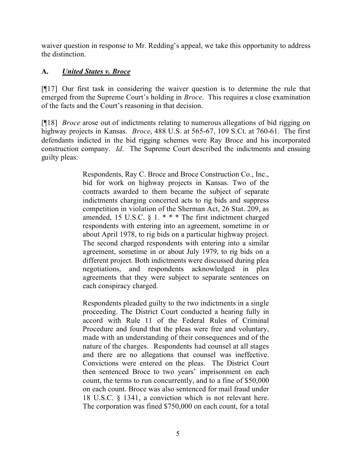waiver question in response to Mr. Redding's appeal, we take this opportunity to address the distinction.

# **A.** *United States v. Broce*

[¶17] Our first task in considering the waiver question is to determine the rule that emerged from the Supreme Court's holding in *Broce*. This requires a close examination of the facts and the Court's reasoning in that decision.

[¶18] *Broce* arose out of indictments relating to numerous allegations of bid rigging on highway projects in Kansas. *Broce*, 488 U.S. at 565-67, 109 S.Ct. at 760-61. The first defendants indicted in the bid rigging schemes were Ray Broce and his incorporated construction company. *Id*. The Supreme Court described the indictments and ensuing guilty pleas:

> Respondents, Ray C. Broce and Broce Construction Co., Inc., bid for work on highway projects in Kansas. Two of the contracts awarded to them became the subject of separate indictments charging concerted acts to rig bids and suppress competition in violation of the Sherman Act, 26 Stat. 209, as amended, 15 U.S.C. § 1. \* \* \* The first indictment charged respondents with entering into an agreement, sometime in or about April 1978, to rig bids on a particular highway project. The second charged respondents with entering into a similar agreement, sometime in or about July 1979, to rig bids on a different project. Both indictments were discussed during plea negotiations, and respondents acknowledged in plea agreements that they were subject to separate sentences on each conspiracy charged.

> Respondents pleaded guilty to the two indictments in a single proceeding. The District Court conducted a hearing fully in accord with Rule 11 of the Federal Rules of Criminal Procedure and found that the pleas were free and voluntary, made with an understanding of their consequences and of the nature of the charges. Respondents had counsel at all stages and there are no allegations that counsel was ineffective. Convictions were entered on the pleas. The District Court then sentenced Broce to two years' imprisonment on each count, the terms to run concurrently, and to a fine of \$50,000 on each count. Broce was also sentenced for mail fraud under 18 U.S.C. § 1341, a conviction which is not relevant here. The corporation was fined \$750,000 on each count, for a total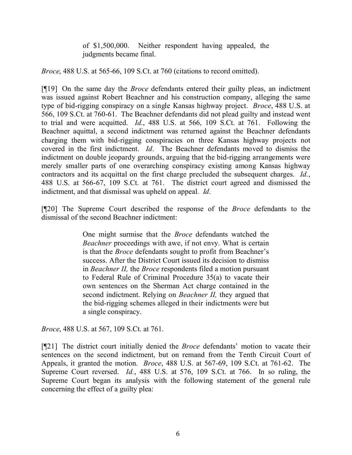of \$1,500,000. Neither respondent having appealed, the judgments became final.

*Broce*, 488 U.S. at 565-66, 109 S.Ct. at 760 (citations to record omitted).

[¶19] On the same day the *Broce* defendants entered their guilty pleas, an indictment was issued against Robert Beachner and his construction company, alleging the same type of bid-rigging conspiracy on a single Kansas highway project. *Broce*, 488 U.S. at 566, 109 S.Ct. at 760-61. The Beachner defendants did not plead guilty and instead went to trial and were acquitted. *Id.*, 488 U.S. at 566, 109 S.Ct. at 761. Following the Beachner aquittal, a second indictment was returned against the Beachner defendants charging them with bid-rigging conspiracies on three Kansas highway projects not covered in the first indictment. *Id*. The Beachner defendants moved to dismiss the indictment on double jeopardy grounds, arguing that the bid-rigging arrangements were merely smaller parts of one overarching conspiracy existing among Kansas highway contractors and its acquittal on the first charge precluded the subsequent charges. *Id.*, 488 U.S. at 566-67, 109 S.Ct. at 761. The district court agreed and dismissed the indictment, and that dismissal was upheld on appeal. *Id*.

[¶20] The Supreme Court described the response of the *Broce* defendants to the dismissal of the second Beachner indictment:

> One might surmise that the *Broce* defendants watched the *Beachner* proceedings with awe, if not envy. What is certain is that the *Broce* defendants sought to profit from Beachner's success. After the District Court issued its decision to dismiss in *Beachner II,* the *Broce* respondents filed a motion pursuant to Federal Rule of Criminal Procedure 35(a) to vacate their own sentences on the Sherman Act charge contained in the second indictment. Relying on *Beachner II,* they argued that the bid-rigging schemes alleged in their indictments were but a single conspiracy.

*Broce*, 488 U.S. at 567, 109 S.Ct. at 761.

[¶21] The district court initially denied the *Broce* defendants' motion to vacate their sentences on the second indictment, but on remand from the Tenth Circuit Court of Appeals, it granted the motion. *Broce*, 488 U.S. at 567-69, 109 S.Ct. at 761-62. The Supreme Court reversed. *Id.*, 488 U.S. at 576, 109 S.Ct. at 766. In so ruling, the Supreme Court began its analysis with the following statement of the general rule concerning the effect of a guilty plea: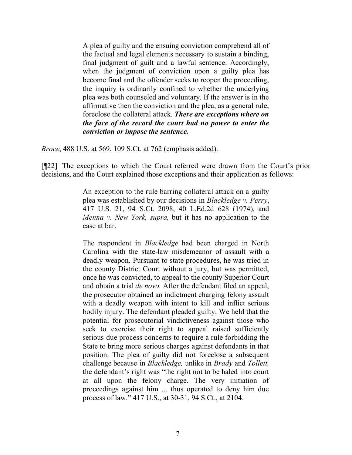A plea of guilty and the ensuing conviction comprehend all of the factual and legal elements necessary to sustain a binding, final judgment of guilt and a lawful sentence. Accordingly, when the judgment of conviction upon a guilty plea has become final and the offender seeks to reopen the proceeding, the inquiry is ordinarily confined to whether the underlying plea was both counseled and voluntary. If the answer is in the affirmative then the conviction and the plea, as a general rule, foreclose the collateral attack. *There are exceptions where on the face of the record the court had no power to enter the conviction or impose the sentence.*

*Broce*, 488 U.S. at 569, 109 S.Ct. at 762 (emphasis added).

[¶22] The exceptions to which the Court referred were drawn from the Court's prior decisions, and the Court explained those exceptions and their application as follows:

> An exception to the rule barring collateral attack on a guilty plea was established by our decisions in *Blackledge v. Perry*, 417 U.S. 21, 94 S.Ct. 2098, 40 L.Ed.2d 628 (1974), and *Menna v. New York, supra,* but it has no application to the case at bar.

> The respondent in *Blackledge* had been charged in North Carolina with the state-law misdemeanor of assault with a deadly weapon. Pursuant to state procedures, he was tried in the county District Court without a jury, but was permitted, once he was convicted, to appeal to the county Superior Court and obtain a trial *de novo.* After the defendant filed an appeal, the prosecutor obtained an indictment charging felony assault with a deadly weapon with intent to kill and inflict serious bodily injury. The defendant pleaded guilty. We held that the potential for prosecutorial vindictiveness against those who seek to exercise their right to appeal raised sufficiently serious due process concerns to require a rule forbidding the State to bring more serious charges against defendants in that position. The plea of guilty did not foreclose a subsequent challenge because in *Blackledge,* unlike in *Brady* and *Tollett,* the defendant's right was "the right not to be haled into court at all upon the felony charge. The very initiation of proceedings against him ... thus operated to deny him due process of law." 417 U.S., at 30-31, 94 S.Ct., at 2104.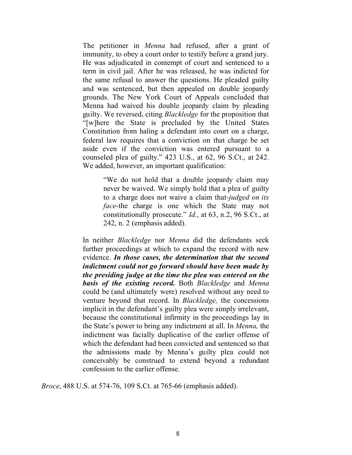The petitioner in *Menna* had refused, after a grant of immunity, to obey a court order to testify before a grand jury. He was adjudicated in contempt of court and sentenced to a term in civil jail. After he was released, he was indicted for the same refusal to answer the questions. He pleaded guilty and was sentenced, but then appealed on double jeopardy grounds. The New York Court of Appeals concluded that Menna had waived his double jeopardy claim by pleading guilty. We reversed, citing *Blackledge* for the proposition that "[w]here the State is precluded by the United States Constitution from haling a defendant into court on a charge, federal law requires that a conviction on that charge be set aside even if the conviction was entered pursuant to a counseled plea of guilty." 423 U.S., at 62, 96 S.Ct., at 242. We added, however, an important qualification:

> "We do not hold that a double jeopardy claim may never be waived. We simply hold that a plea of guilty to a charge does not waive a claim that-*judged on its face*-the charge is one which the State may not constitutionally prosecute." *Id.*, at 63, n.2, 96 S.Ct., at 242, n. 2 (emphasis added).

In neither *Blackledge* nor *Menna* did the defendants seek further proceedings at which to expand the record with new evidence. *In those cases, the determination that the second indictment could not go forward should have been made by the presiding judge at the time the plea was entered on the basis of the existing record.* Both *Blackledge* and *Menna* could be (and ultimately were) resolved without any need to venture beyond that record. In *Blackledge,* the concessions implicit in the defendant's guilty plea were simply irrelevant, because the constitutional infirmity in the proceedings lay in the State's power to bring any indictment at all. In *Menna,* the indictment was facially duplicative of the earlier offense of which the defendant had been convicted and sentenced so that the admissions made by Menna's guilty plea could not conceivably be construed to extend beyond a redundant confession to the earlier offense.

*Broce*, 488 U.S. at 574-76, 109 S.Ct. at 765-66 (emphasis added).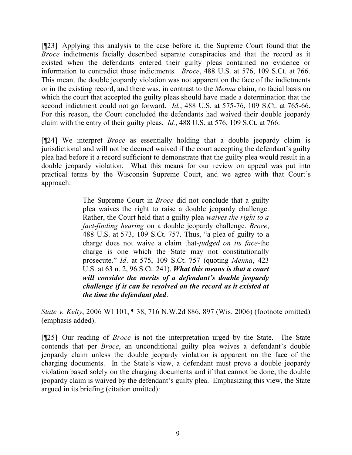[¶23] Applying this analysis to the case before it, the Supreme Court found that the *Broce* indictments facially described separate conspiracies and that the record as it existed when the defendants entered their guilty pleas contained no evidence or information to contradict those indictments. *Broce*, 488 U.S. at 576, 109 S.Ct. at 766. This meant the double jeopardy violation was not apparent on the face of the indictments or in the existing record, and there was, in contrast to the *Menna* claim, no facial basis on which the court that accepted the guilty pleas should have made a determination that the second indictment could not go forward. *Id.*, 488 U.S. at 575-76, 109 S.Ct. at 765-66. For this reason, the Court concluded the defendants had waived their double jeopardy claim with the entry of their guilty pleas. *Id.*, 488 U.S. at 576, 109 S.Ct. at 766.

[¶24] We interpret *Broce* as essentially holding that a double jeopardy claim is jurisdictional and will not be deemed waived if the court accepting the defendant's guilty plea had before it a record sufficient to demonstrate that the guilty plea would result in a double jeopardy violation. What this means for our review on appeal was put into practical terms by the Wisconsin Supreme Court, and we agree with that Court's approach:

> The Supreme Court in *Broce* did not conclude that a guilty plea waives the right to raise a double jeopardy challenge. Rather, the Court held that a guilty plea *waives the right to a fact-finding hearing* on a double jeopardy challenge. *Broce*, 488 U.S. at 573, 109 S.Ct. 757. Thus, "a plea of guilty to a charge does not waive a claim that-*judged on its face*-the charge is one which the State may not constitutionally prosecute." *Id*. at 575, 109 S.Ct. 757 (quoting *Menna*, 423 U.S. at 63 n. 2, 96 S.Ct. 241). *What this means is that a court will consider the merits of a defendant's double jeopardy challenge if it can be resolved on the record as it existed at the time the defendant pled*.

*State v. Kelty*, 2006 WI 101, ¶ 38, 716 N.W.2d 886, 897 (Wis. 2006) (footnote omitted) (emphasis added).

[¶25] Our reading of *Broce* is not the interpretation urged by the State. The State contends that per *Broce*, an unconditional guilty plea waives a defendant's double jeopardy claim unless the double jeopardy violation is apparent on the face of the charging documents. In the State's view, a defendant must prove a double jeopardy violation based solely on the charging documents and if that cannot be done, the double jeopardy claim is waived by the defendant's guilty plea. Emphasizing this view, the State argued in its briefing (citation omitted):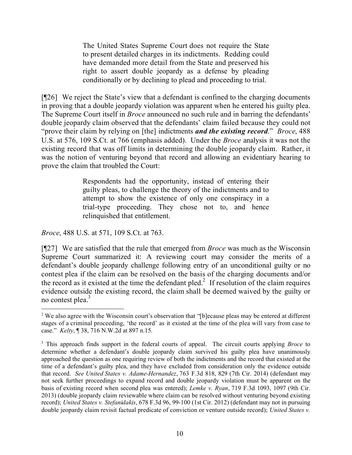The United States Supreme Court does not require the State to present detailed charges in its indictments. Redding could have demanded more detail from the State and preserved his right to assert double jeopardy as a defense by pleading conditionally or by declining to plead and proceeding to trial.

[¶26] We reject the State's view that a defendant is confined to the charging documents in proving that a double jeopardy violation was apparent when he entered his guilty plea. The Supreme Court itself in *Broce* announced no such rule and in barring the defendants' double jeopardy claim observed that the defendants' claim failed because they could not "prove their claim by relying on [the] indictments *and the existing record*." *Broce*, 488 U.S. at 576, 109 S.Ct. at 766 (emphasis added). Under the *Broce* analysis it was not the existing record that was off limits in determining the double jeopardy claim. Rather, it was the notion of venturing beyond that record and allowing an evidentiary hearing to prove the claim that troubled the Court:

> Respondents had the opportunity, instead of entering their guilty pleas, to challenge the theory of the indictments and to attempt to show the existence of only one conspiracy in a trial-type proceeding. They chose not to, and hence relinquished that entitlement.

*Broce*, 488 U.S. at 571, 109 S.Ct. at 763.

[¶27] We are satisfied that the rule that emerged from *Broce* was much as the Wisconsin Supreme Court summarized it: A reviewing court may consider the merits of a defendant's double jeopardy challenge following entry of an unconditional guilty or no contest plea if the claim can be resolved on the basis of the charging documents and/or the record as it existed at the time the defendant pled.<sup>2</sup> If resolution of the claim requires evidence outside the existing record, the claim shall be deemed waived by the guilty or no contest plea.<sup>3</sup>

 $\overline{a}$ <sup>2</sup> We also agree with the Wisconsin court's observation that "[b]ecause pleas may be entered at different stages of a criminal proceeding, 'the record' as it existed at the time of the plea will vary from case to case." *Kelty*, ¶ 38, 716 N.W.2d at 897 n.15.

<sup>&</sup>lt;sup>3</sup> This approach finds support in the federal courts of appeal. The circuit courts applying *Broce* to determine whether a defendant's double jeopardy claim survived his guilty plea have unanimously approached the question as one requiring review of both the indictments and the record that existed at the time of a defendant's guilty plea, and they have excluded from consideration only the evidence outside that record. *See United States v. Adame-Hernandez*, 763 F.3d 818, 829 (7th Cir. 2014) (defendant may not seek further proceedings to expand record and double jeopardy violation must be apparent on the basis of existing record when second plea was entered); *Lemke v. Ryan*, 719 F.3d 1093, 1097 (9th Cir. 2013) (double jeopardy claim reviewable where claim can be resolved without venturing beyond existing record); *United States v. Stefanidakis*, 678 F.3d 96, 99-100 (1st Cir. 2012) (defendant may not in pursuing double jeopardy claim revisit factual predicate of conviction or venture outside record); *United States v.*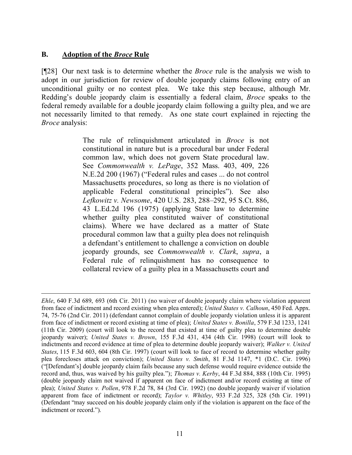## **B. Adoption of the** *Broce* **Rule**

[¶28] Our next task is to determine whether the *Broce* rule is the analysis we wish to adopt in our jurisdiction for review of double jeopardy claims following entry of an unconditional guilty or no contest plea. We take this step because, although Mr. Redding's double jeopardy claim is essentially a federal claim, *Broce* speaks to the federal remedy available for a double jeopardy claim following a guilty plea, and we are not necessarily limited to that remedy. As one state court explained in rejecting the *Broce* analysis:

> The rule of relinquishment articulated in *Broce* is not constitutional in nature but is a procedural bar under Federal common law, which does not govern State procedural law. See *Commonwealth v. LePage*, 352 Mass. 403, 409, 226 N.E.2d 200 (1967) ("Federal rules and cases ... do not control Massachusetts procedures, so long as there is no violation of applicable Federal constitutional principles"). See also *Lefkowitz v. Newsome*, 420 U.S. 283, 288–292, 95 S.Ct. 886, 43 L.Ed.2d 196 (1975) (applying State law to determine whether guilty plea constituted waiver of constitutional claims). Where we have declared as a matter of State procedural common law that a guilty plea does not relinquish a defendant's entitlement to challenge a conviction on double jeopardy grounds, see *Commonwealth v. Clark*, *supra*, a Federal rule of relinquishment has no consequence to collateral review of a guilty plea in a Massachusetts court and

*Ehle*, 640 F.3d 689, 693 (6th Cir. 2011) (no waiver of double jeopardy claim where violation apparent from face of indictment and record existing when plea entered); *United States v. Calhoun*, 450 Fed. Appx. 74, 75-76 (2nd Cir. 2011) (defendant cannot complain of double jeopardy violation unless it is apparent from face of indictment or record existing at time of plea); *United States v. Bonilla*, 579 F.3d 1233, 1241 (11th Cir. 2009) (court will look to the record that existed at time of guilty plea to determine double jeopardy waiver); *United States v. Brown*, 155 F.3d 431, 434 (4th Cir. 1998) (court will look to indictments and record evidence at time of plea to determine double jeopardy waiver); *Walker v. United States*, 115 F.3d 603, 604 (8th Cir. 1997) (court will look to face of record to determine whether guilty plea forecloses attack on conviction); *United States v. Smith*, 81 F.3d 1147, \*1 (D.C. Cir. 1996) ("[Defendant's] double jeopardy claim fails because any such defense would require evidence outside the record and, thus, was waived by his guilty plea."); *Thomas v. Kerby*, 44 F.3d 884, 888 (10th Cir. 1995) (double jeopardy claim not waived if apparent on face of indictment and/or record existing at time of plea); *United States v. Pollen*, 978 F.2d 78, 84 (3rd Cir. 1992) (no double jeopardy waiver if violation apparent from face of indictment or record); *Taylor v. Whitley*, 933 F.2d 325, 328 (5th Cir. 1991) (Defendant "may succeed on his double jeopardy claim only if the violation is apparent on the face of the indictment or record.").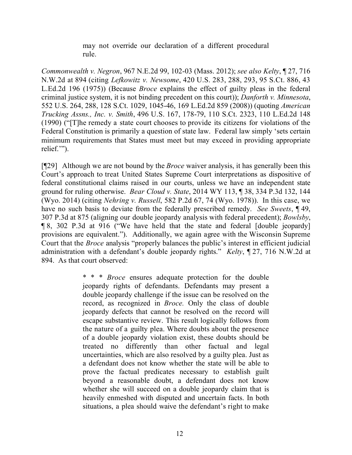may not override our declaration of a different procedural rule.

*Commonwealth v. Negron*, 967 N.E.2d 99, 102-03 (Mass. 2012); *see also Kelty*, ¶ 27, 716 N.W.2d at 894 (citing *Lefkowitz v. Newsome*, 420 U.S. 283, 288, 293, 95 S.Ct. 886, 43 L.Ed.2d 196 (1975)) (Because *Broce* explains the effect of guilty pleas in the federal criminal justice system, it is not binding precedent on this court)); *Danforth v. Minnesota*, 552 U.S. 264, 288, 128 S.Ct. 1029, 1045-46, 169 L.Ed.2d 859 (2008)) (quoting *American Trucking Assns., Inc. v. Smith*, 496 U.S. 167, 178-79, 110 S.Ct. 2323, 110 L.Ed.2d 148 (1990) ("[T]he remedy a state court chooses to provide its citizens for violations of the Federal Constitution is primarily a question of state law. Federal law simply 'sets certain minimum requirements that States must meet but may exceed in providing appropriate relief.'").

[¶29] Although we are not bound by the *Broce* waiver analysis, it has generally been this Court's approach to treat United States Supreme Court interpretations as dispositive of federal constitutional claims raised in our courts, unless we have an independent state ground for ruling otherwise. *Bear Cloud v. State*, 2014 WY 113, ¶ 38, 334 P.3d 132, 144 (Wyo. 2014) (citing *Nehring v. Russell*, 582 P.2d 67, 74 (Wyo. 1978)). In this case, we have no such basis to deviate from the federally prescribed remedy. *See Sweets*, ¶ 49, 307 P.3d at 875 (aligning our double jeopardy analysis with federal precedent); *Bowlsby*, ¶ 8, 302 P.3d at 916 ("We have held that the state and federal [double jeopardy] provisions are equivalent."). Additionally, we again agree with the Wisconsin Supreme Court that the *Broce* analysis "properly balances the public's interest in efficient judicial administration with a defendant's double jeopardy rights." *Kelty*, ¶ 27, 716 N.W.2d at 894. As that court observed:

> \* \* \* *Broce* ensures adequate protection for the double jeopardy rights of defendants. Defendants may present a double jeopardy challenge if the issue can be resolved on the record, as recognized in *Broce.* Only the class of double jeopardy defects that cannot be resolved on the record will escape substantive review. This result logically follows from the nature of a guilty plea. Where doubts about the presence of a double jeopardy violation exist, these doubts should be treated no differently than other factual and legal uncertainties, which are also resolved by a guilty plea. Just as a defendant does not know whether the state will be able to prove the factual predicates necessary to establish guilt beyond a reasonable doubt, a defendant does not know whether she will succeed on a double jeopardy claim that is heavily enmeshed with disputed and uncertain facts. In both situations, a plea should waive the defendant's right to make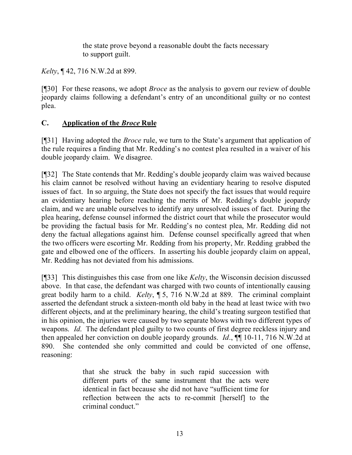the state prove beyond a reasonable doubt the facts necessary to support guilt.

*Kelty*, ¶ 42, 716 N.W.2d at 899.

[¶30] For these reasons, we adopt *Broce* as the analysis to govern our review of double jeopardy claims following a defendant's entry of an unconditional guilty or no contest plea.

# **C. Application of the** *Broce* **Rule**

[¶31] Having adopted the *Broce* rule, we turn to the State's argument that application of the rule requires a finding that Mr. Redding's no contest plea resulted in a waiver of his double jeopardy claim. We disagree.

[¶32] The State contends that Mr. Redding's double jeopardy claim was waived because his claim cannot be resolved without having an evidentiary hearing to resolve disputed issues of fact. In so arguing, the State does not specify the fact issues that would require an evidentiary hearing before reaching the merits of Mr. Redding's double jeopardy claim, and we are unable ourselves to identify any unresolved issues of fact. During the plea hearing, defense counsel informed the district court that while the prosecutor would be providing the factual basis for Mr. Redding's no contest plea, Mr. Redding did not deny the factual allegations against him. Defense counsel specifically agreed that when the two officers were escorting Mr. Redding from his property, Mr. Redding grabbed the gate and elbowed one of the officers. In asserting his double jeopardy claim on appeal, Mr. Redding has not deviated from his admissions.

[¶33] This distinguishes this case from one like *Kelty*, the Wisconsin decision discussed above. In that case, the defendant was charged with two counts of intentionally causing great bodily harm to a child. *Kelty*, ¶ 5, 716 N.W.2d at 889. The criminal complaint asserted the defendant struck a sixteen-month old baby in the head at least twice with two different objects, and at the preliminary hearing, the child's treating surgeon testified that in his opinion, the injuries were caused by two separate blows with two different types of weapons. *Id*. The defendant pled guilty to two counts of first degree reckless injury and then appealed her conviction on double jeopardy grounds. *Id*., ¶¶ 10-11, 716 N.W.2d at 890. She contended she only committed and could be convicted of one offense, reasoning:

> that she struck the baby in such rapid succession with different parts of the same instrument that the acts were identical in fact because she did not have "sufficient time for reflection between the acts to re-commit [herself] to the criminal conduct."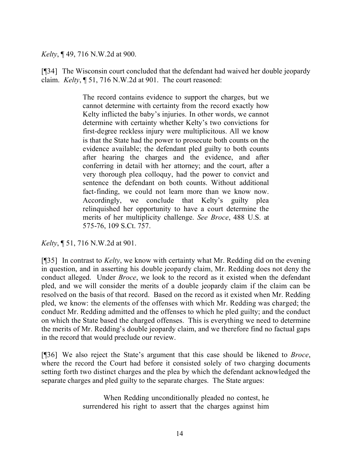*Kelty*, ¶ 49, 716 N.W.2d at 900.

[¶34] The Wisconsin court concluded that the defendant had waived her double jeopardy claim. *Kelty*, ¶ 51, 716 N.W.2d at 901. The court reasoned:

> The record contains evidence to support the charges, but we cannot determine with certainty from the record exactly how Kelty inflicted the baby's injuries. In other words, we cannot determine with certainty whether Kelty's two convictions for first-degree reckless injury were multiplicitous. All we know is that the State had the power to prosecute both counts on the evidence available; the defendant pled guilty to both counts after hearing the charges and the evidence, and after conferring in detail with her attorney; and the court, after a very thorough plea colloquy, had the power to convict and sentence the defendant on both counts. Without additional fact-finding, we could not learn more than we know now. Accordingly, we conclude that Kelty's guilty plea relinquished her opportunity to have a court determine the merits of her multiplicity challenge. *See Broce*, 488 U.S. at 575-76, 109 S.Ct. 757.

*Kelty*, ¶ 51, 716 N.W.2d at 901.

[¶35] In contrast to *Kelty*, we know with certainty what Mr. Redding did on the evening in question, and in asserting his double jeopardy claim, Mr. Redding does not deny the conduct alleged. Under *Broce*, we look to the record as it existed when the defendant pled, and we will consider the merits of a double jeopardy claim if the claim can be resolved on the basis of that record. Based on the record as it existed when Mr. Redding pled, we know: the elements of the offenses with which Mr. Redding was charged; the conduct Mr. Redding admitted and the offenses to which he pled guilty; and the conduct on which the State based the charged offenses. This is everything we need to determine the merits of Mr. Redding's double jeopardy claim, and we therefore find no factual gaps in the record that would preclude our review.

[¶36] We also reject the State's argument that this case should be likened to *Broce*, where the record the Court had before it consisted solely of two charging documents setting forth two distinct charges and the plea by which the defendant acknowledged the separate charges and pled guilty to the separate charges. The State argues:

> When Redding unconditionally pleaded no contest, he surrendered his right to assert that the charges against him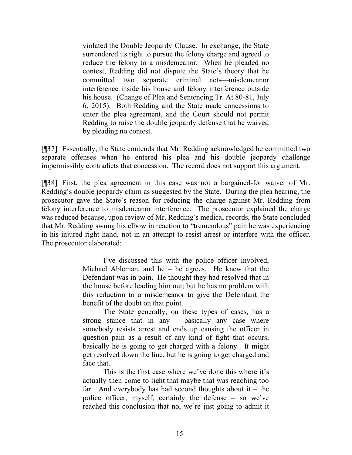violated the Double Jeopardy Clause. In exchange, the State surrendered its right to pursue the felony charge and agreed to reduce the felony to a misdemeanor. When he pleaded no contest, Redding did not dispute the State's theory that he committed two separate criminal acts—misdemeanor interference inside his house and felony interference outside his house. (Change of Plea and Sentencing Tr. At 80-81, July 6, 2015). Both Redding and the State made concessions to enter the plea agreement, and the Court should not permit Redding to raise the double jeopardy defense that he waived by pleading no contest.

[¶37] Essentially, the State contends that Mr. Redding acknowledged he committed two separate offenses when he entered his plea and his double jeopardy challenge impermissibly contradicts that concession. The record does not support this argument.

[¶38] First, the plea agreement in this case was not a bargained-for waiver of Mr. Redding's double jeopardy claim as suggested by the State. During the plea hearing, the prosecutor gave the State's reason for reducing the charge against Mr. Redding from felony interference to misdemeanor interference. The prosecutor explained the charge was reduced because, upon review of Mr. Redding's medical records, the State concluded that Mr. Redding swung his elbow in reaction to "tremendous" pain he was experiencing in his injured right hand, not in an attempt to resist arrest or interfere with the officer. The prosecutor elaborated:

> I've discussed this with the police officer involved, Michael Ableman, and he – he agrees. He knew that the Defendant was in pain. He thought they had resolved that in the house before leading him out; but he has no problem with this reduction to a misdemeanor to give the Defendant the benefit of the doubt on that point.

> The State generally, on these types of cases, has a strong stance that in any – basically any case where somebody resists arrest and ends up causing the officer in question pain as a result of any kind of fight that occurs, basically he is going to get charged with a felony. It might get resolved down the line, but he is going to get charged and face that.

> This is the first case where we've done this where it's actually then come to light that maybe that was reaching too far. And everybody has had second thoughts about  $it - the$ police officer, myself, certainly the defense – so we've reached this conclusion that no, we're just going to admit it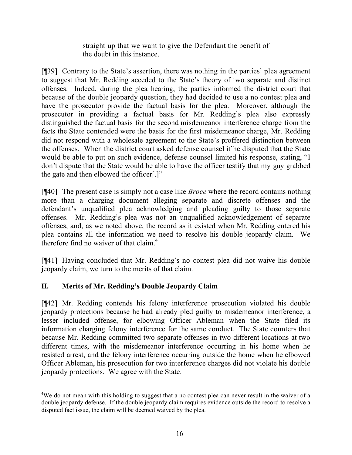straight up that we want to give the Defendant the benefit of the doubt in this instance.

[¶39] Contrary to the State's assertion, there was nothing in the parties' plea agreement to suggest that Mr. Redding acceded to the State's theory of two separate and distinct offenses. Indeed, during the plea hearing, the parties informed the district court that because of the double jeopardy question, they had decided to use a no contest plea and have the prosecutor provide the factual basis for the plea. Moreover, although the prosecutor in providing a factual basis for Mr. Redding's plea also expressly distinguished the factual basis for the second misdemeanor interference charge from the facts the State contended were the basis for the first misdemeanor charge, Mr. Redding did not respond with a wholesale agreement to the State's proffered distinction between the offenses. When the district court asked defense counsel if he disputed that the State would be able to put on such evidence, defense counsel limited his response, stating, "I don't dispute that the State would be able to have the officer testify that my guy grabbed the gate and then elbowed the officer[.]"

[¶40] The present case is simply not a case like *Broce* where the record contains nothing more than a charging document alleging separate and discrete offenses and the defendant's unqualified plea acknowledging and pleading guilty to those separate offenses. Mr. Redding's plea was not an unqualified acknowledgement of separate offenses, and, as we noted above, the record as it existed when Mr. Redding entered his plea contains all the information we need to resolve his double jeopardy claim. We therefore find no waiver of that claim.<sup>4</sup>

[¶41] Having concluded that Mr. Redding's no contest plea did not waive his double jeopardy claim, we turn to the merits of that claim.

# **II. Merits of Mr. Redding's Double Jeopardy Claim**

[¶42] Mr. Redding contends his felony interference prosecution violated his double jeopardy protections because he had already pled guilty to misdemeanor interference, a lesser included offense, for elbowing Officer Ableman when the State filed its information charging felony interference for the same conduct. The State counters that because Mr. Redding committed two separate offenses in two different locations at two different times, with the misdemeanor interference occurring in his home when he resisted arrest, and the felony interference occurring outside the home when he elbowed Officer Ableman, his prosecution for two interference charges did not violate his double jeopardy protections. We agree with the State.

 <sup>4</sup>We do not mean with this holding to suggest that a no contest plea can never result in the waiver of a double jeopardy defense. If the double jeopardy claim requires evidence outside the record to resolve a disputed fact issue, the claim will be deemed waived by the plea.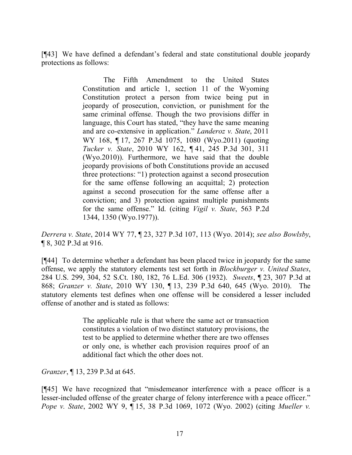[¶43] We have defined a defendant's federal and state constitutional double jeopardy protections as follows:

> The Fifth Amendment to the United States Constitution and article 1, section 11 of the Wyoming Constitution protect a person from twice being put in jeopardy of prosecution, conviction, or punishment for the same criminal offense. Though the two provisions differ in language, this Court has stated, "they have the same meaning and are co-extensive in application." *Landeroz v. State*, 2011 WY 168, ¶ 17, 267 P.3d 1075, 1080 (Wyo.2011) (quoting *Tucker v. State*, 2010 WY 162, ¶ 41, 245 P.3d 301, 311 (Wyo.2010)). Furthermore, we have said that the double jeopardy provisions of both Constitutions provide an accused three protections: "1) protection against a second prosecution for the same offense following an acquittal; 2) protection against a second prosecution for the same offense after a conviction; and 3) protection against multiple punishments for the same offense." Id. (citing *Vigil v. State*, 563 P.2d 1344, 1350 (Wyo.1977)).

*Derrera v. State*, 2014 WY 77, ¶ 23, 327 P.3d 107, 113 (Wyo. 2014); *see also Bowlsby*, ¶ 8, 302 P.3d at 916.

[¶44] To determine whether a defendant has been placed twice in jeopardy for the same offense, we apply the statutory elements test set forth in *Blockburger v. United States*, 284 U.S. 299, 304, 52 S.Ct. 180, 182, 76 L.Ed. 306 (1932). *Sweets*, ¶ 23, 307 P.3d at 868; *Granzer v. State*, 2010 WY 130, ¶ 13, 239 P.3d 640, 645 (Wyo. 2010). The statutory elements test defines when one offense will be considered a lesser included offense of another and is stated as follows:

> The applicable rule is that where the same act or transaction constitutes a violation of two distinct statutory provisions, the test to be applied to determine whether there are two offenses or only one, is whether each provision requires proof of an additional fact which the other does not.

*Granzer*, ¶ 13, 239 P.3d at 645.

[¶45] We have recognized that "misdemeanor interference with a peace officer is a lesser-included offense of the greater charge of felony interference with a peace officer." *Pope v. State*, 2002 WY 9, ¶ 15, 38 P.3d 1069, 1072 (Wyo. 2002) (citing *Mueller v.*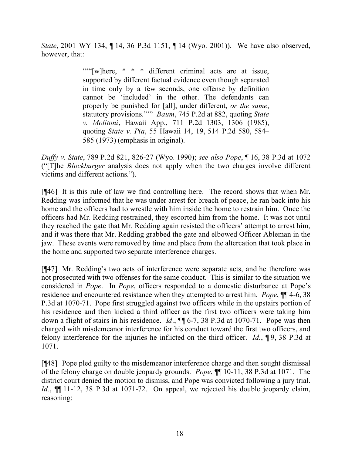*State*, 2001 WY 134, ¶ 14, 36 P.3d 1151, ¶ 14 (Wyo. 2001)). We have also observed, however, that:

> ""[w]here, \* \* \* different criminal acts are at issue, supported by different factual evidence even though separated in time only by a few seconds, one offense by definition cannot be 'included' in the other. The defendants can properly be punished for [all], under different, *or the same*, statutory provisions."'" *Baum*, 745 P.2d at 882, quoting *State v. Molitoni*, Hawaii App., 711 P.2d 1303, 1306 (1985), quoting *State v. Pia*, 55 Hawaii 14, 19, 514 P.2d 580, 584– 585 (1973) (emphasis in original).

*Duffy v. State*, 789 P.2d 821, 826-27 (Wyo. 1990); *see also Pope*, ¶ 16, 38 P.3d at 1072 ("[T]he *Blockburger* analysis does not apply when the two charges involve different victims and different actions.").

[¶46] It is this rule of law we find controlling here. The record shows that when Mr. Redding was informed that he was under arrest for breach of peace, he ran back into his home and the officers had to wrestle with him inside the home to restrain him. Once the officers had Mr. Redding restrained, they escorted him from the home. It was not until they reached the gate that Mr. Redding again resisted the officers' attempt to arrest him, and it was there that Mr. Redding grabbed the gate and elbowed Officer Ableman in the jaw. These events were removed by time and place from the altercation that took place in the home and supported two separate interference charges.

[¶47] Mr. Redding's two acts of interference were separate acts, and he therefore was not prosecuted with two offenses for the same conduct. This is similar to the situation we considered in *Pope*. In *Pope*, officers responded to a domestic disturbance at Pope's residence and encountered resistance when they attempted to arrest him. *Pope*, ¶¶ 4-6, 38 P.3d at 1070-71. Pope first struggled against two officers while in the upstairs portion of his residence and then kicked a third officer as the first two officers were taking him down a flight of stairs in his residence. *Id*., ¶¶ 6-7, 38 P.3d at 1070-71. Pope was then charged with misdemeanor interference for his conduct toward the first two officers, and felony interference for the injuries he inflicted on the third officer. *Id.*, ¶ 9, 38 P.3d at 1071.

[¶48] Pope pled guilty to the misdemeanor interference charge and then sought dismissal of the felony charge on double jeopardy grounds. *Pope*, ¶¶ 10-11, 38 P.3d at 1071. The district court denied the motion to dismiss, and Pope was convicted following a jury trial. *Id.*, **[10** 11-12, 38 P.3d at 1071-72. On appeal, we rejected his double jeopardy claim, reasoning: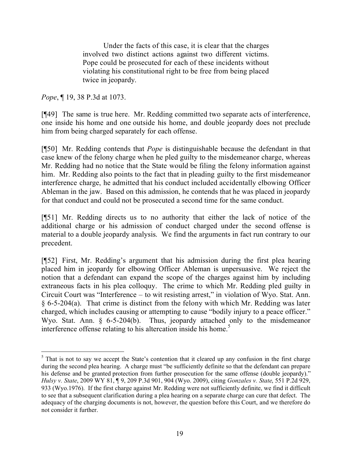Under the facts of this case, it is clear that the charges involved two distinct actions against two different victims. Pope could be prosecuted for each of these incidents without violating his constitutional right to be free from being placed twice in jeopardy.

*Pope*, ¶ 19, 38 P.3d at 1073.

[¶49] The same is true here. Mr. Redding committed two separate acts of interference, one inside his home and one outside his home, and double jeopardy does not preclude him from being charged separately for each offense.

[¶50] Mr. Redding contends that *Pope* is distinguishable because the defendant in that case knew of the felony charge when he pled guilty to the misdemeanor charge, whereas Mr. Redding had no notice that the State would be filing the felony information against him. Mr. Redding also points to the fact that in pleading guilty to the first misdemeanor interference charge, he admitted that his conduct included accidentally elbowing Officer Ableman in the jaw. Based on this admission, he contends that he was placed in jeopardy for that conduct and could not be prosecuted a second time for the same conduct.

[¶51] Mr. Redding directs us to no authority that either the lack of notice of the additional charge or his admission of conduct charged under the second offense is material to a double jeopardy analysis. We find the arguments in fact run contrary to our precedent.

[¶52] First, Mr. Redding's argument that his admission during the first plea hearing placed him in jeopardy for elbowing Officer Ableman is unpersuasive. We reject the notion that a defendant can expand the scope of the charges against him by including extraneous facts in his plea colloquy. The crime to which Mr. Redding pled guilty in Circuit Court was "Interference – to wit resisting arrest," in violation of Wyo. Stat. Ann. § 6-5-204(a). That crime is distinct from the felony with which Mr. Redding was later charged, which includes causing or attempting to cause "bodily injury to a peace officer." Wyo. Stat. Ann. § 6-5-204(b). Thus, jeopardy attached only to the misdemeanor interference offense relating to his altercation inside his home.<sup>5</sup>

<sup>&</sup>lt;sup>5</sup> That is not to say we accept the State's contention that it cleared up any confusion in the first charge during the second plea hearing. A charge must "be sufficiently definite so that the defendant can prepare his defense and be granted protection from further prosecution for the same offense (double jeopardy)." *Hulsy v. State*, 2009 WY 81, ¶ 9, 209 P.3d 901, 904 (Wyo. 2009), citing *Gonzales v. State*, 551 P.2d 929, 933 (Wyo.1976). If the first charge against Mr. Redding were not sufficiently definite, we find it difficult to see that a subsequent clarification during a plea hearing on a separate charge can cure that defect. The adequacy of the charging documents is not, however, the question before this Court, and we therefore do not consider it further.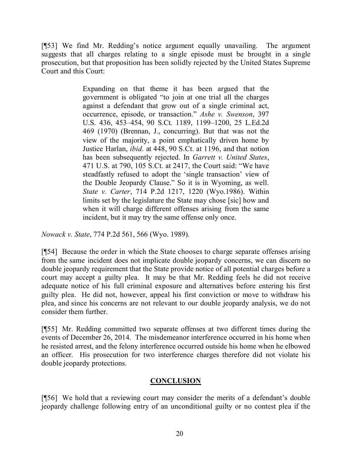[¶53] We find Mr. Redding's notice argument equally unavailing. The argument suggests that all charges relating to a single episode must be brought in a single prosecution, but that proposition has been solidly rejected by the United States Supreme Court and this Court:

> Expanding on that theme it has been argued that the government is obligated "to join at one trial all the charges against a defendant that grow out of a single criminal act, occurrence, episode, or transaction." *Ashe v. Swenson*, 397 U.S. 436, 453–454, 90 S.Ct. 1189, 1199–1200, 25 L.Ed.2d 469 (1970) (Brennan, J., concurring). But that was not the view of the majority, a point emphatically driven home by Justice Harlan, *ibid*. at 448, 90 S.Ct. at 1196, and that notion has been subsequently rejected. In *Garrett v. United States*, 471 U.S. at 790, 105 S.Ct. at 2417, the Court said: "We have steadfastly refused to adopt the 'single transaction' view of the Double Jeopardy Clause." So it is in Wyoming, as well. *State v. Carter*, 714 P.2d 1217, 1220 (Wyo.1986). Within limits set by the legislature the State may chose [sic] how and when it will charge different offenses arising from the same incident, but it may try the same offense only once.

*Nowack v. State*, 774 P.2d 561, 566 (Wyo. 1989).

[¶54] Because the order in which the State chooses to charge separate offenses arising from the same incident does not implicate double jeopardy concerns, we can discern no double jeopardy requirement that the State provide notice of all potential charges before a court may accept a guilty plea. It may be that Mr. Redding feels he did not receive adequate notice of his full criminal exposure and alternatives before entering his first guilty plea. He did not, however, appeal his first conviction or move to withdraw his plea, and since his concerns are not relevant to our double jeopardy analysis, we do not consider them further.

[¶55] Mr. Redding committed two separate offenses at two different times during the events of December 26, 2014. The misdemeanor interference occurred in his home when he resisted arrest, and the felony interference occurred outside his home when he elbowed an officer. His prosecution for two interference charges therefore did not violate his double jeopardy protections.

#### **CONCLUSION**

[¶56] We hold that a reviewing court may consider the merits of a defendant's double jeopardy challenge following entry of an unconditional guilty or no contest plea if the